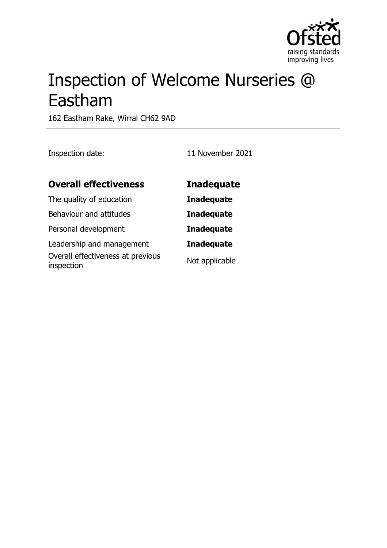

# Inspection of Welcome Nurseries @ Eastham

162 Eastham Rake, Wirral CH62 9AD

Inspection date: 11 November 2021

| <b>Overall effectiveness</b>                                   | <b>Inadequate</b> |
|----------------------------------------------------------------|-------------------|
| The quality of education                                       | <b>Inadequate</b> |
| Behaviour and attitudes                                        | <b>Inadequate</b> |
| Personal development                                           | <b>Inadequate</b> |
| Leadership and management<br>Overall effectiveness at previous | <b>Inadequate</b> |
| inspection                                                     | Not applicable    |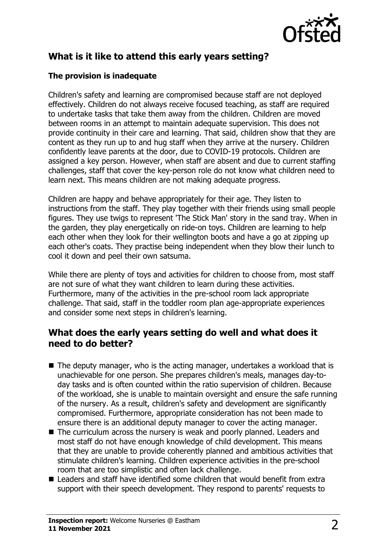

# **What is it like to attend this early years setting?**

### **The provision is inadequate**

Children's safety and learning are compromised because staff are not deployed effectively. Children do not always receive focused teaching, as staff are required to undertake tasks that take them away from the children. Children are moved between rooms in an attempt to maintain adequate supervision. This does not provide continuity in their care and learning. That said, children show that they are content as they run up to and hug staff when they arrive at the nursery. Children confidently leave parents at the door, due to COVID-19 protocols. Children are assigned a key person. However, when staff are absent and due to current staffing challenges, staff that cover the key-person role do not know what children need to learn next. This means children are not making adequate progress.

Children are happy and behave appropriately for their age. They listen to instructions from the staff. They play together with their friends using small people figures. They use twigs to represent 'The Stick Man' story in the sand tray. When in the garden, they play energetically on ride-on toys. Children are learning to help each other when they look for their wellington boots and have a go at zipping up each other's coats. They practise being independent when they blow their lunch to cool it down and peel their own satsuma.

While there are plenty of toys and activities for children to choose from, most staff are not sure of what they want children to learn during these activities. Furthermore, many of the activities in the pre-school room lack appropriate challenge. That said, staff in the toddler room plan age-appropriate experiences and consider some next steps in children's learning.

## **What does the early years setting do well and what does it need to do better?**

- $\blacksquare$  The deputy manager, who is the acting manager, undertakes a workload that is unachievable for one person. She prepares children's meals, manages day-today tasks and is often counted within the ratio supervision of children. Because of the workload, she is unable to maintain oversight and ensure the safe running of the nursery. As a result, children's safety and development are significantly compromised. Furthermore, appropriate consideration has not been made to ensure there is an additional deputy manager to cover the acting manager.
- The curriculum across the nursery is weak and poorly planned. Leaders and most staff do not have enough knowledge of child development. This means that they are unable to provide coherently planned and ambitious activities that stimulate children's learning. Children experience activities in the pre-school room that are too simplistic and often lack challenge.
- $\blacksquare$  Leaders and staff have identified some children that would benefit from extra support with their speech development. They respond to parents' requests to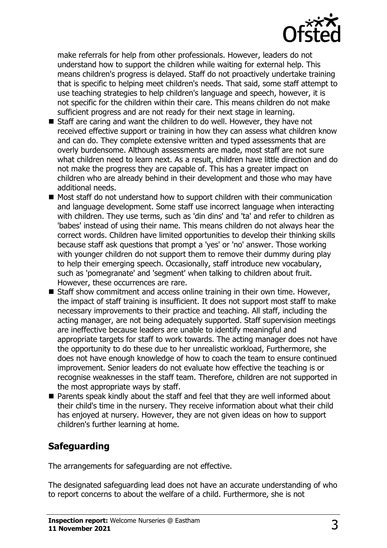

make referrals for help from other professionals. However, leaders do not understand how to support the children while waiting for external help. This means children's progress is delayed. Staff do not proactively undertake training that is specific to helping meet children's needs. That said, some staff attempt to use teaching strategies to help children's language and speech, however, it is not specific for the children within their care. This means children do not make sufficient progress and are not ready for their next stage in learning.

- $\blacksquare$  Staff are caring and want the children to do well. However, they have not received effective support or training in how they can assess what children know and can do. They complete extensive written and typed assessments that are overly burdensome. Although assessments are made, most staff are not sure what children need to learn next. As a result, children have little direction and do not make the progress they are capable of. This has a greater impact on children who are already behind in their development and those who may have additional needs.
- Most staff do not understand how to support children with their communication and language development. Some staff use incorrect language when interacting with children. They use terms, such as 'din dins' and 'ta' and refer to children as 'babes' instead of using their name. This means children do not always hear the correct words. Children have limited opportunities to develop their thinking skills because staff ask questions that prompt a 'yes' or 'no' answer. Those working with younger children do not support them to remove their dummy during play to help their emerging speech. Occasionally, staff introduce new vocabulary, such as 'pomegranate' and 'segment' when talking to children about fruit. However, these occurrences are rare.
- $\blacksquare$  Staff show commitment and access online training in their own time. However, the impact of staff training is insufficient. It does not support most staff to make necessary improvements to their practice and teaching. All staff, including the acting manager, are not being adequately supported. Staff supervision meetings are ineffective because leaders are unable to identify meaningful and appropriate targets for staff to work towards. The acting manager does not have the opportunity to do these due to her unrealistic workload, Furthermore, she does not have enough knowledge of how to coach the team to ensure continued improvement. Senior leaders do not evaluate how effective the teaching is or recognise weaknesses in the staff team. Therefore, children are not supported in the most appropriate ways by staff.
- $\blacksquare$  Parents speak kindly about the staff and feel that they are well informed about their child's time in the nursery. They receive information about what their child has enjoyed at nursery. However, they are not given ideas on how to support children's further learning at home.

# **Safeguarding**

The arrangements for safeguarding are not effective.

The designated safeguarding lead does not have an accurate understanding of who to report concerns to about the welfare of a child. Furthermore, she is not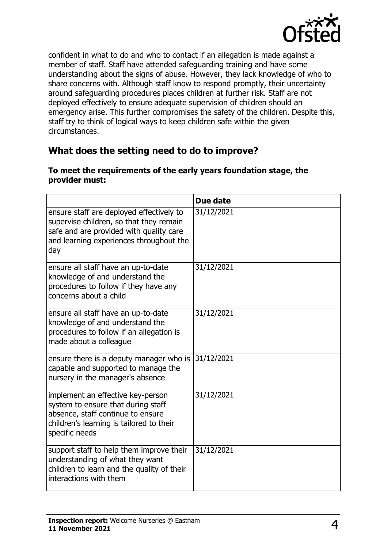

confident in what to do and who to contact if an allegation is made against a member of staff. Staff have attended safeguarding training and have some understanding about the signs of abuse. However, they lack knowledge of who to share concerns with. Although staff know to respond promptly, their uncertainty around safeguarding procedures places children at further risk. Staff are not deployed effectively to ensure adequate supervision of children should an emergency arise. This further compromises the safety of the children. Despite this, staff try to think of logical ways to keep children safe within the given circumstances.

# **What does the setting need to do to improve?**

|                                                                                                                                                                                  | Due date   |
|----------------------------------------------------------------------------------------------------------------------------------------------------------------------------------|------------|
| ensure staff are deployed effectively to<br>supervise children, so that they remain<br>safe and are provided with quality care<br>and learning experiences throughout the<br>day | 31/12/2021 |
| ensure all staff have an up-to-date<br>knowledge of and understand the<br>procedures to follow if they have any<br>concerns about a child                                        | 31/12/2021 |
| ensure all staff have an up-to-date<br>knowledge of and understand the<br>procedures to follow if an allegation is<br>made about a colleague                                     | 31/12/2021 |
| ensure there is a deputy manager who is<br>capable and supported to manage the<br>nursery in the manager's absence                                                               | 31/12/2021 |
| implement an effective key-person<br>system to ensure that during staff<br>absence, staff continue to ensure<br>children's learning is tailored to their<br>specific needs       | 31/12/2021 |
| support staff to help them improve their<br>understanding of what they want<br>children to learn and the quality of their<br>interactions with them                              | 31/12/2021 |

#### **To meet the requirements of the early years foundation stage, the provider must:**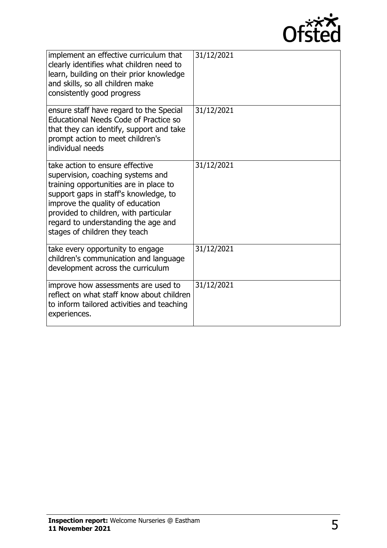

| implement an effective curriculum that<br>clearly identifies what children need to<br>learn, building on their prior knowledge<br>and skills, so all children make<br>consistently good progress                                                                                                             | 31/12/2021 |
|--------------------------------------------------------------------------------------------------------------------------------------------------------------------------------------------------------------------------------------------------------------------------------------------------------------|------------|
| ensure staff have regard to the Special<br><b>Educational Needs Code of Practice so</b><br>that they can identify, support and take<br>prompt action to meet children's<br>individual needs                                                                                                                  | 31/12/2021 |
| take action to ensure effective<br>supervision, coaching systems and<br>training opportunities are in place to<br>support gaps in staff's knowledge, to<br>improve the quality of education<br>provided to children, with particular<br>regard to understanding the age and<br>stages of children they teach | 31/12/2021 |
| take every opportunity to engage<br>children's communication and language<br>development across the curriculum                                                                                                                                                                                               | 31/12/2021 |
| improve how assessments are used to<br>reflect on what staff know about children<br>to inform tailored activities and teaching<br>experiences.                                                                                                                                                               | 31/12/2021 |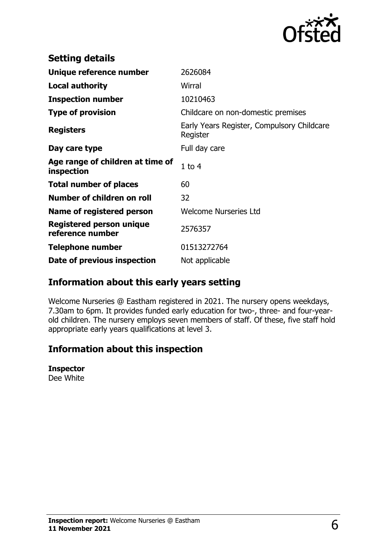

| <b>Setting details</b>                         |                                                        |
|------------------------------------------------|--------------------------------------------------------|
| Unique reference number                        | 2626084                                                |
| <b>Local authority</b>                         | Wirral                                                 |
| <b>Inspection number</b>                       | 10210463                                               |
| <b>Type of provision</b>                       | Childcare on non-domestic premises                     |
| <b>Registers</b>                               | Early Years Register, Compulsory Childcare<br>Register |
| Day care type                                  | Full day care                                          |
| Age range of children at time of<br>inspection | $1$ to $4$                                             |
| <b>Total number of places</b>                  | 60                                                     |
| Number of children on roll                     | 32                                                     |
| Name of registered person                      | <b>Welcome Nurseries Ltd</b>                           |
| Registered person unique<br>reference number   | 2576357                                                |
| <b>Telephone number</b>                        | 01513272764                                            |
| Date of previous inspection                    | Not applicable                                         |

## **Information about this early years setting**

Welcome Nurseries @ Eastham registered in 2021. The nursery opens weekdays, 7.30am to 6pm. It provides funded early education for two-, three- and four-yearold children. The nursery employs seven members of staff. Of these, five staff hold appropriate early years qualifications at level 3.

## **Information about this inspection**

#### **Inspector**

Dee White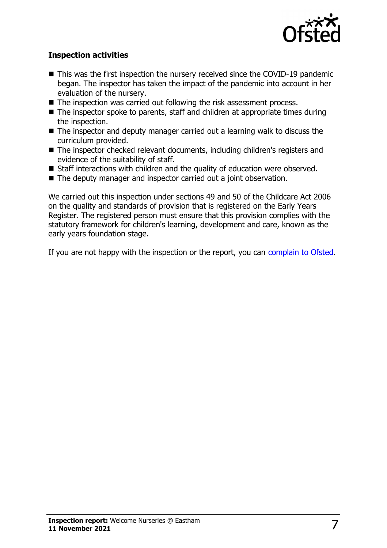

#### **Inspection activities**

- $\blacksquare$  This was the first inspection the nursery received since the COVID-19 pandemic began. The inspector has taken the impact of the pandemic into account in her evaluation of the nursery.
- $\blacksquare$  The inspection was carried out following the risk assessment process.
- $\blacksquare$  The inspector spoke to parents, staff and children at appropriate times during the inspection.
- $\blacksquare$  The inspector and deputy manager carried out a learning walk to discuss the curriculum provided.
- $\blacksquare$  The inspector checked relevant documents, including children's registers and evidence of the suitability of staff.
- Staff interactions with children and the quality of education were observed.
- The deputy manager and inspector carried out a joint observation.

We carried out this inspection under sections 49 and 50 of the Childcare Act 2006 on the quality and standards of provision that is registered on the Early Years Register. The registered person must ensure that this provision complies with the statutory framework for children's learning, development and care, known as the early years foundation stage.

If you are not happy with the inspection or the report, you can [complain to Ofsted](http://www.gov.uk/complain-ofsted-report).